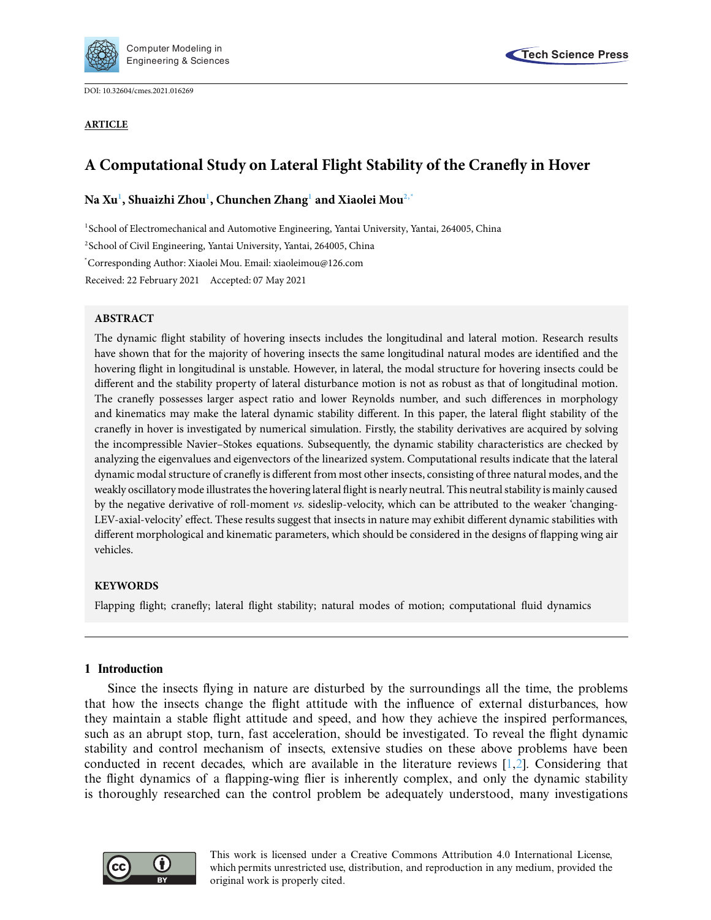

DOI: [10.32604/cmes.2021.016269](http://dx.doi.org/10.32604/cmes.2021.016269)

#### **ARTICLE**



# **A Computational Study on Lateral Flight Stability of the Cranefly in Hover**

## **Na X[u1](#page-0-0) , Shuaizhi Zho[u1](#page-0-0) , Chunchen Zhan[g1](#page-0-0) and Xiaolei Mo[u2,](#page-0-1)[\\*](#page-0-2)**

<span id="page-0-0"></span>1 School of Electromechanical and Automotive Engineering, Yantai University, Yantai, 264005, China

<span id="page-0-1"></span>2School of Civil Engineering, Yantai University, Yantai, 264005, China

<span id="page-0-2"></span>\* Corresponding Author: Xiaolei Mou. Email: xiaoleimou@126.com

Received: 22 February 2021 Accepted: 07 May 2021

## **ABSTRACT**

The dynamic flight stability of hovering insects includes the longitudinal and lateral motion. Research results have shown that for the majority of hovering insects the same longitudinal natural modes are identified and the hovering flight in longitudinal is unstable. However, in lateral, the modal structure for hovering insects could be different and the stability property of lateral disturbance motion is not as robust as that of longitudinal motion. The cranefly possesses larger aspect ratio and lower Reynolds number, and such differences in morphology and kinematics may make the lateral dynamic stability different. In this paper, the lateral flight stability of the cranefly in hover is investigated by numerical simulation. Firstly, the stability derivatives are acquired by solving the incompressible Navier–Stokes equations. Subsequently, the dynamic stability characteristics are checked by analyzing the eigenvalues and eigenvectors of the linearized system. Computational results indicate that the lateral dynamic modal structure of cranefly is different from most other insects, consisting of three natural modes, and the weakly oscillatory mode illustrates the hovering lateral flight is nearly neutral. This neutral stability is mainly caused by the negative derivative of roll-moment *vs.* sideslip-velocity, which can be attributed to the weaker 'changing-LEV-axial-velocity' effect. These results suggest that insects in nature may exhibit different dynamic stabilities with different morphological and kinematic parameters, which should be considered in the designs of flapping wing air vehicles.

## **KEYWORDS**

Flapping flight; cranefly; lateral flight stability; natural modes of motion; computational fluid dynamics

## **1 Introduction**

Since the insects flying in nature are disturbed by the surroundings all the time, the problems that how the insects change the flight attitude with the influence of external disturbances, how they maintain a stable flight attitude and speed, and how they achieve the inspired performances, such as an abrupt stop, turn, fast acceleration, should be investigated. To reveal the flight dynamic stability and control mechanism of insects, extensive studies on these above problems have been conducted in recent decades, which are available in the literature reviews [\[1](#page-15-0)[,2](#page-15-1)]. Considering that the flight dynamics of a flapping-wing flier is inherently complex, and only the dynamic stability is thoroughly researched can the control problem be adequately understood, many investigations

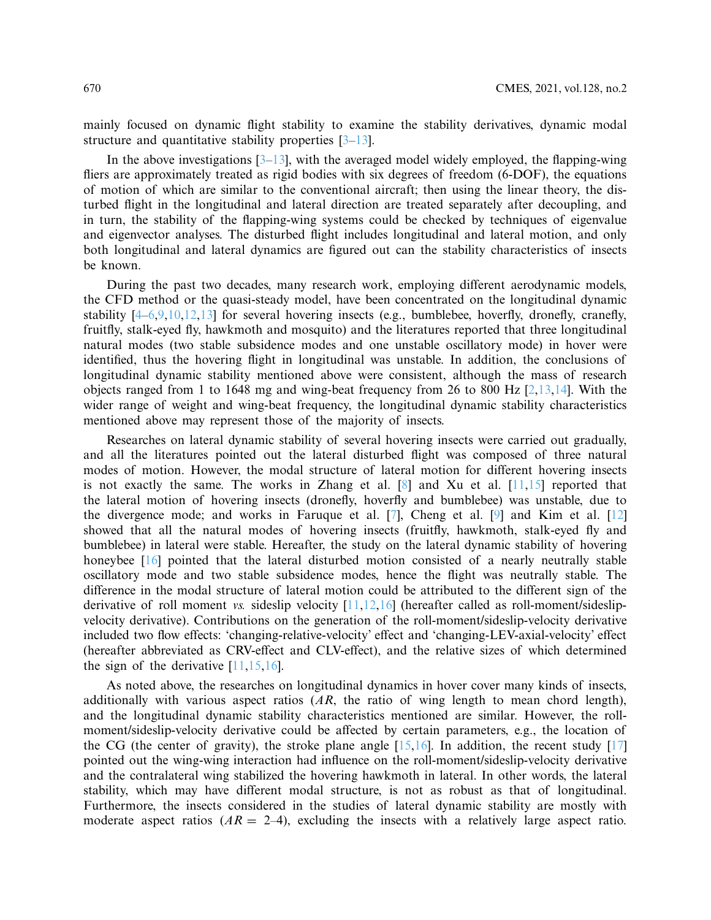mainly focused on dynamic flight stability to examine the stability derivatives, dynamic modal structure and quantitative stability properties  $[3-13]$  $[3-13]$ .

In the above investigations  $[3-13]$  $[3-13]$ , with the averaged model widely employed, the flapping-wing fliers are approximately treated as rigid bodies with six degrees of freedom (6-DOF), the equations of motion of which are similar to the conventional aircraft; then using the linear theory, the disturbed flight in the longitudinal and lateral direction are treated separately after decoupling, and in turn, the stability of the flapping-wing systems could be checked by techniques of eigenvalue and eigenvector analyses. The disturbed flight includes longitudinal and lateral motion, and only both longitudinal and lateral dynamics are figured out can the stability characteristics of insects be known.

During the past two decades, many research work, employing different aerodynamic models, the CFD method or the quasi-steady model, have been concentrated on the longitudinal dynamic stability  $[4-6,9,10,12,13]$  $[4-6,9,10,12,13]$  $[4-6,9,10,12,13]$  $[4-6,9,10,12,13]$  $[4-6,9,10,12,13]$  $[4-6,9,10,12,13]$  $[4-6,9,10,12,13]$  for several hovering insects (e.g., bumblebee, hoverfly, dronefly, cranefly, fruitfly, stalk-eyed fly, hawkmoth and mosquito) and the literatures reported that three longitudinal natural modes (two stable subsidence modes and one unstable oscillatory mode) in hover were identified, thus the hovering flight in longitudinal was unstable. In addition, the conclusions of longitudinal dynamic stability mentioned above were consistent, although the mass of research objects ranged from 1 to 1648 mg and wing-beat frequency from 26 to 800 Hz  $[2,13,14]$  $[2,13,14]$  $[2,13,14]$ . With the wider range of weight and wing-beat frequency, the longitudinal dynamic stability characteristics mentioned above may represent those of the majority of insects.

Researches on lateral dynamic stability of several hovering insects were carried out gradually, and all the literatures pointed out the lateral disturbed flight was composed of three natural modes of motion. However, the modal structure of lateral motion for different hovering insects is not exactly the same. The works in Zhang et al.  $[8]$  $[8]$  and Xu et al.  $[11,15]$  $[11,15]$  $[11,15]$  reported that the lateral motion of hovering insects (dronefly, hoverfly and bumblebee) was unstable, due to the divergence mode; and works in Faruque et al. [\[7\]](#page-15-13), Cheng et al. [\[9\]](#page-15-6) and Kim et al.  $[12]$  $[12]$ showed that all the natural modes of hovering insects (fruitfly, hawkmoth, stalk-eyed fly and bumblebee) in lateral were stable. Hereafter, the study on the lateral dynamic stability of hovering honeybee [\[16\]](#page-15-14) pointed that the lateral disturbed motion consisted of a nearly neutrally stable oscillatory mode and two stable subsidence modes, hence the flight was neutrally stable. The difference in the modal structure of lateral motion could be attributed to the different sign of the derivative of roll moment *vs.* sideslip velocity [\[11](#page-15-11)[,12](#page-15-8)[,16\]](#page-15-14) (hereafter called as roll-moment/sideslipvelocity derivative). Contributions on the generation of the roll-moment/sideslip-velocity derivative included two flow effects: 'changing-relative-velocity' effect and 'changing-LEV-axial-velocity' effect (hereafter abbreviated as CRV-effect and CLV-effect), and the relative sizes of which determined the sign of the derivative  $[11, 15, 16]$  $[11, 15, 16]$ .

As noted above, the researches on longitudinal dynamics in hover cover many kinds of insects, additionally with various aspect ratios (*AR*, the ratio of wing length to mean chord length), and the longitudinal dynamic stability characteristics mentioned are similar. However, the rollmoment/sideslip-velocity derivative could be affected by certain parameters, e.g., the location of the CG (the center of gravity), the stroke plane angle  $[15,16]$  $[15,16]$  $[15,16]$ . In addition, the recent study  $[17]$  $[17]$ pointed out the wing-wing interaction had influence on the roll-moment/sideslip-velocity derivative and the contralateral wing stabilized the hovering hawkmoth in lateral. In other words, the lateral stability, which may have different modal structure, is not as robust as that of longitudinal. Furthermore, the insects considered in the studies of lateral dynamic stability are mostly with moderate aspect ratios  $(AR = 2-4)$ , excluding the insects with a relatively large aspect ratio.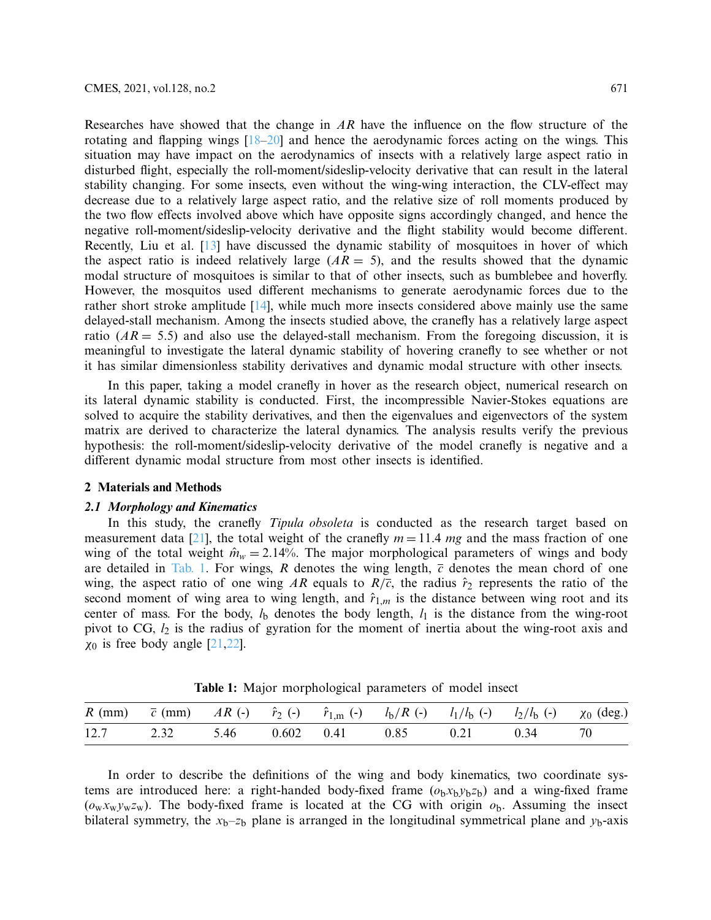Researches have showed that the change in *AR* have the influence on the flow structure of the rotating and flapping wings  $[18–20]$  $[18–20]$  and hence the aerodynamic forces acting on the wings. This situation may have impact on the aerodynamics of insects with a relatively large aspect ratio in disturbed flight, especially the roll-moment/sideslip-velocity derivative that can result in the lateral stability changing. For some insects, even without the wing-wing interaction, the CLV-effect may decrease due to a relatively large aspect ratio, and the relative size of roll moments produced by the two flow effects involved above which have opposite signs accordingly changed, and hence the negative roll-moment/sideslip-velocity derivative and the flight stability would become different. Recently, Liu et al. [\[13\]](#page-15-3) have discussed the dynamic stability of mosquitoes in hover of which the aspect ratio is indeed relatively large  $(AR = 5)$ , and the results showed that the dynamic modal structure of mosquitoes is similar to that of other insects, such as bumblebee and hoverfly. However, the mosquitos used different mechanisms to generate aerodynamic forces due to the rather short stroke amplitude [\[14\]](#page-15-9), while much more insects considered above mainly use the same delayed-stall mechanism. Among the insects studied above, the cranefly has a relatively large aspect ratio  $(AR = 5.5)$  and also use the delayed-stall mechanism. From the foregoing discussion, it is meaningful to investigate the lateral dynamic stability of hovering cranefly to see whether or not it has similar dimensionless stability derivatives and dynamic modal structure with other insects.

In this paper, taking a model cranefly in hover as the research object, numerical research on its lateral dynamic stability is conducted. First, the incompressible Navier-Stokes equations are solved to acquire the stability derivatives, and then the eigenvalues and eigenvectors of the system matrix are derived to characterize the lateral dynamics. The analysis results verify the previous hypothesis: the roll-moment/sideslip-velocity derivative of the model cranefly is negative and a different dynamic modal structure from most other insects is identified.

#### **2 Materials and Methods**

#### *2.1 Morphology and Kinematics*

In this study, the cranefly *Tipula obsoleta* is conducted as the research target based on measurement data [\[21\]](#page-16-3), the total weight of the cranefly  $m = 11.4$  *mg* and the mass fraction of one wing of the total weight  $\hat{m}_w = 2.14\%$ . The major morphological parameters of wings and body are detailed in [Tab. 1.](#page-2-0) For wings,  $R$  denotes the wing length,  $\overline{c}$  denotes the mean chord of one wing, the aspect ratio of one wing AR equals to  $R/\overline{c}$ , the radius  $\hat{r}_2$  represents the ratio of the second moment of wing area to wing length, and  $\hat{r}_{1,m}$  is the distance between wing root and its center of mass. For the body,  $l<sub>b</sub>$  denotes the body length,  $l<sub>1</sub>$  is the distance from the wing-root pivot to CG, *l*<sup>2</sup> is the radius of gyration for the moment of inertia about the wing-root axis and  $\chi_0$  is free body angle [\[21](#page-16-3)[,22](#page-16-4)].

<span id="page-2-0"></span>

|  |  |  |  |  | R (mm) $\bar{c}$ (mm) $AR$ (-) $\hat{r}_2$ (-) $\hat{r}_{1,m}$ (-) $l_b/R$ (-) $l_1/l_b$ (-) $l_2/l_b$ (-) $\chi_0$ (deg.) |  |  |  |
|--|--|--|--|--|----------------------------------------------------------------------------------------------------------------------------|--|--|--|
|  |  |  |  |  | 12.7 2.32 5.46 0.602 0.41 0.85 0.21 0.34 70                                                                                |  |  |  |

**Table 1:** Major morphological parameters of model insect

In order to describe the definitions of the wing and body kinematics, two coordinate systems are introduced here: a right-handed body-fixed frame  $(o_bx_by_bz_b)$  and a wing-fixed frame  $(o_wx_wy_wz_w)$ . The body-fixed frame is located at the CG with origin  $o_b$ . Assuming the insect bilateral symmetry, the  $x_b$ – $z_b$  plane is arranged in the longitudinal symmetrical plane and  $y_b$ -axis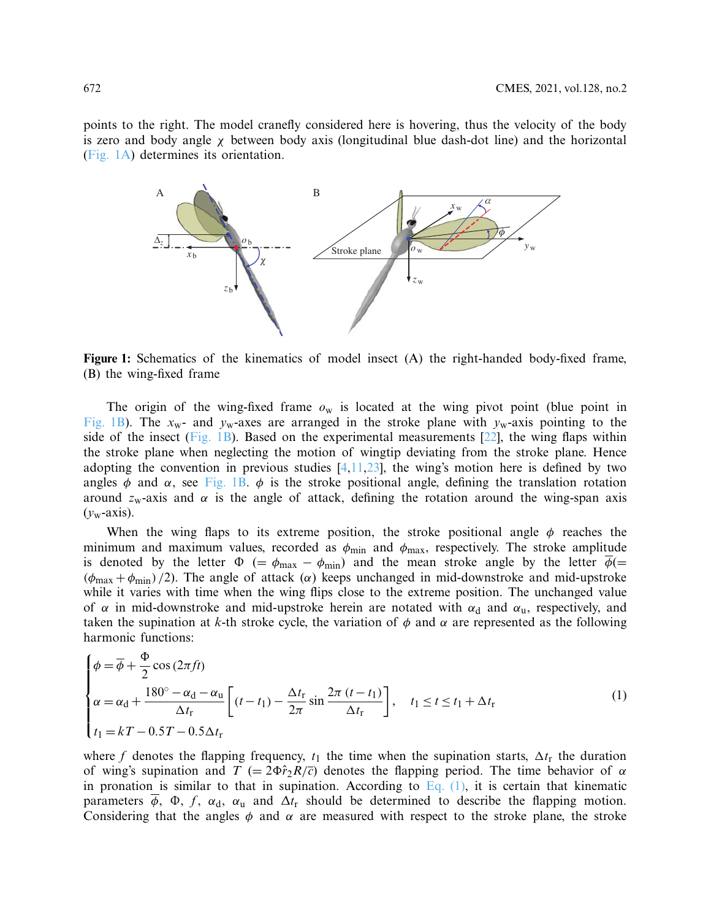points to the right. The model cranefly considered here is hovering, thus the velocity of the body is zero and body angle  $\chi$  between body axis (longitudinal blue dash-dot line) and the horizontal [\(Fig. 1A\)](#page-3-0) determines its orientation.

<span id="page-3-0"></span>

**Figure 1:** Schematics of the kinematics of model insect (A) the right-handed body-fixed frame, (B) the wing-fixed frame

The origin of the wing-fixed frame  $o_w$  is located at the wing pivot point (blue point in [Fig. 1B\)](#page-3-0). The  $x_w$ - and  $y_w$ -axes are arranged in the stroke plane with  $y_w$ -axis pointing to the side of the insect [\(Fig. 1B\)](#page-3-0). Based on the experimental measurements  $[22]$ , the wing flaps within the stroke plane when neglecting the motion of wingtip deviating from the stroke plane. Hence adopting the convention in previous studies  $[4,11,23]$  $[4,11,23]$  $[4,11,23]$  $[4,11,23]$ , the wing's motion here is defined by two angles  $\phi$  and  $\alpha$ , see [Fig. 1B.](#page-3-0)  $\phi$  is the stroke positional angle, defining the translation rotation around  $z_w$ -axis and  $\alpha$  is the angle of attack, defining the rotation around the wing-span axis  $(v<sub>w</sub>-axis)$ .

When the wing flaps to its extreme position, the stroke positional angle  $\phi$  reaches the minimum and maximum values, recorded as  $\phi_{\text{min}}$  and  $\phi_{\text{max}}$ , respectively. The stroke amplitude is denoted by the letter  $\Phi$  (=  $\phi_{\text{max}} - \phi_{\text{min}}$ ) and the mean stroke angle by the letter  $\overline{\phi}$ (=  $(\phi_{\text{max}} + \phi_{\text{min}})/2$ ). The angle of attack ( $\alpha$ ) keeps unchanged in mid-downstroke and mid-upstroke while it varies with time when the wing flips close to the extreme position. The unchanged value of  $\alpha$  in mid-downstroke and mid-upstroke herein are notated with  $\alpha_d$  and  $\alpha_u$ , respectively, and taken the supination at *k*-th stroke cycle, the variation of  $\phi$  and  $\alpha$  are represented as the following harmonic functions:

<span id="page-3-1"></span>
$$
\begin{cases}\n\phi = \overline{\phi} + \frac{\Phi}{2}\cos(2\pi ft) \\
\alpha = \alpha_{\rm d} + \frac{180^{\circ} - \alpha_{\rm d} - \alpha_{\rm u}}{\Delta t_{\rm r}} \left[ (t - t_{1}) - \frac{\Delta t_{\rm r}}{2\pi} \sin \frac{2\pi (t - t_{1})}{\Delta t_{\rm r}} \right], \quad t_{1} \le t \le t_{1} + \Delta t_{\rm r} \\
t_{1} = kT - 0.5T - 0.5\Delta t_{\rm r}\n\end{cases} (1)
$$

where f denotes the flapping frequency,  $t_1$  the time when the supination starts,  $\Delta t_r$  the duration of wing's supination and  $T = 2\Phi \hat{r}_2 R/\overline{c}$  denotes the flapping period. The time behavior of  $\alpha$ in pronation is similar to that in supination. According to Eq.  $(1)$ , it is certain that kinematic parameters  $\overline{\phi}$ ,  $\Phi$ ,  $f$ ,  $\alpha_d$ ,  $\alpha_u$  and  $\Delta t$ r should be determined to describe the flapping motion. Considering that the angles  $\phi$  and  $\alpha$  are measured with respect to the stroke plane, the stroke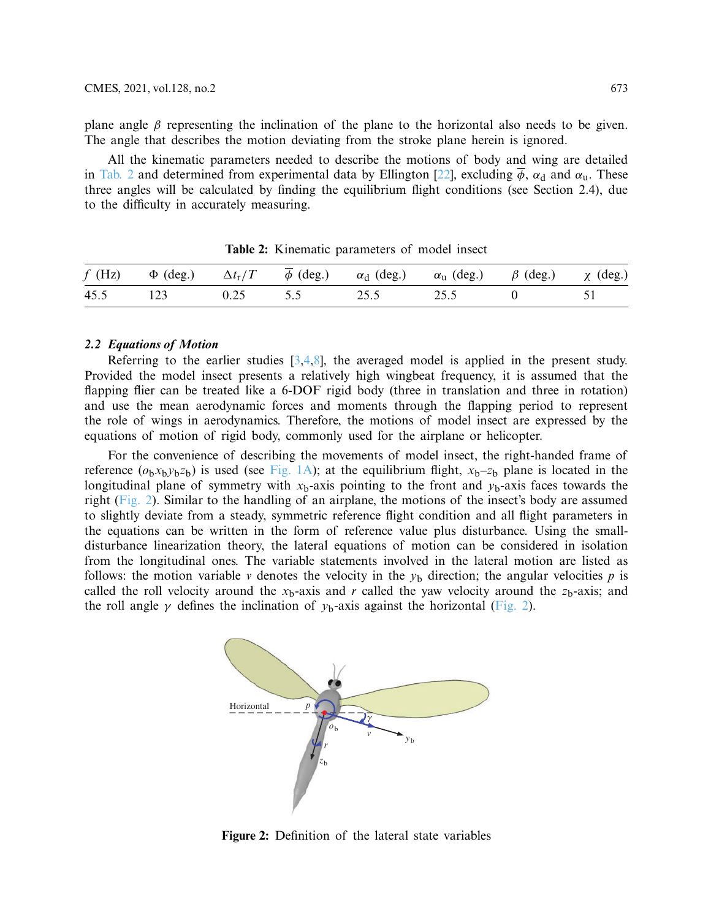plane angle  $\beta$  representing the inclination of the plane to the horizontal also needs to be given. The angle that describes the motion deviating from the stroke plane herein is ignored.

All the kinematic parameters needed to describe the motions of body and wing are detailed in [Tab. 2](#page-4-0) and determined from experimental data by Ellington [\[22\]](#page-16-4), excluding  $\overline{\phi}$ ,  $\alpha_d$  and  $\alpha_u$ . These three angles will be calculated by finding the equilibrium flight conditions (see Section 2.4), due to the difficulty in accurately measuring.

<span id="page-4-0"></span>

|  |  | f (Hz) $\Phi$ (deg.) $\Delta t_r/T$ $\overline{\phi}$ (deg.) $\alpha_d$ (deg.) $\alpha_u$ (deg.) $\beta$ (deg.) $\chi$ (deg.) |  |
|--|--|-------------------------------------------------------------------------------------------------------------------------------|--|
|  |  | 45.5 123 0.25 5.5 25.5 25.5 0 51                                                                                              |  |

**Table 2:** Kinematic parameters of model insect

## *2.2 Equations of Motion*

Referring to the earlier studies  $[3,4,8]$  $[3,4,8]$  $[3,4,8]$ , the averaged model is applied in the present study. Provided the model insect presents a relatively high wingbeat frequency, it is assumed that the flapping flier can be treated like a 6-DOF rigid body (three in translation and three in rotation) and use the mean aerodynamic forces and moments through the flapping period to represent the role of wings in aerodynamics. Therefore, the motions of model insect are expressed by the equations of motion of rigid body, commonly used for the airplane or helicopter.

For the convenience of describing the movements of model insect, the right-handed frame of reference  $(o_bx_by_bz_b)$  is used (see [Fig. 1A\)](#page-3-0); at the equilibrium flight,  $x_b-z_b$  plane is located in the longitudinal plane of symmetry with  $x<sub>b</sub>$ -axis pointing to the front and  $y<sub>b</sub>$ -axis faces towards the right [\(Fig. 2\)](#page-4-1). Similar to the handling of an airplane, the motions of the insect's body are assumed to slightly deviate from a steady, symmetric reference flight condition and all flight parameters in the equations can be written in the form of reference value plus disturbance. Using the smalldisturbance linearization theory, the lateral equations of motion can be considered in isolation from the longitudinal ones. The variable statements involved in the lateral motion are listed as follows: the motion variable *v* denotes the velocity in the  $y<sub>b</sub>$  direction; the angular velocities *p* is called the roll velocity around the  $x<sub>b</sub>$ -axis and *r* called the yaw velocity around the  $z<sub>b</sub>$ -axis; and the roll angle  $\gamma$  defines the inclination of  $y_b$ -axis against the horizontal [\(Fig. 2\)](#page-4-1).



<span id="page-4-1"></span>**Figure 2:** Definition of the lateral state variables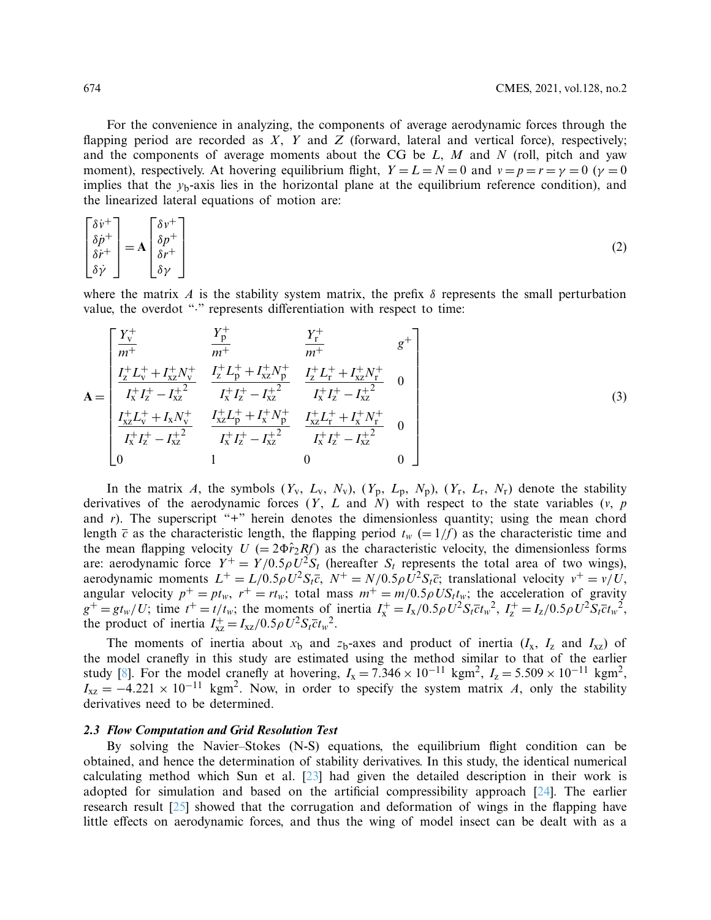For the convenience in analyzing, the components of average aerodynamic forces through the flapping period are recorded as *X*, *Y* and *Z* (forward, lateral and vertical force), respectively; and the components of average moments about the CG be *L*, *M* and *N* (roll, pitch and yaw moment), respectively. At hovering equilibrium flight,  $Y = L = N = 0$  and  $v = p = r = \gamma = 0$  ( $\gamma = 0$ ) implies that the  $y<sub>b</sub>$ -axis lies in the horizontal plane at the equilibrium reference condition), and the linearized lateral equations of motion are:

$$
\begin{bmatrix} \delta \dot{v}^+ \\ \delta \dot{p}^+ \\ \delta \dot{r}^+ \\ \delta \dot{\gamma} \end{bmatrix} = \mathbf{A} \begin{bmatrix} \delta v^+ \\ \delta p^+ \\ \delta r^+ \\ \delta \gamma \end{bmatrix}
$$
 (2)

where the matrix *A* is the stability system matrix, the prefix  $\delta$  represents the small perturbation value, the overdot "." represents differentiation with respect to time:

<span id="page-5-0"></span>
$$
\mathbf{A} = \begin{bmatrix} \frac{Y_{\text{v}}^{+}}{m^{+}} & \frac{Y_{\text{p}}^{+}}{m^{+}} & \frac{Y_{\text{r}}^{+}}{m^{+}} & g^{+} \\ \frac{I_{\text{z}}^{+} L_{\text{v}}^{+} + I_{\text{xz}}^{+} N_{\text{v}}^{+}}{I_{\text{x}}^{+} I_{\text{z}}^{+} - I_{\text{xz}}^{+2}} & \frac{I_{\text{z}}^{+} L_{\text{p}}^{+} + I_{\text{xz}}^{+} N_{\text{p}}^{+}}{I_{\text{x}}^{+} I_{\text{z}}^{+} - I_{\text{xz}}^{+2}} & 0 \\ \frac{I_{\text{x}}^{+} L_{\text{v}}^{+} + I_{\text{x}} N_{\text{v}}^{+}}{I_{\text{x}}^{+} I_{\text{z}}^{+} - I_{\text{xz}}^{+2}} & \frac{I_{\text{x}}^{+} L_{\text{p}}^{+} + I_{\text{x}}^{+} N_{\text{p}}^{+}}{I_{\text{x}}^{+} I_{\text{z}}^{+} - I_{\text{xz}}^{+2}} & 0 \\ 0 & 1 & 0 & 0 \end{bmatrix}
$$
(3)

In the matrix *A*, the symbols  $(Y_v, L_v, N_v)$ ,  $(Y_p, L_p, N_p)$ ,  $(Y_r, L_r, N_r)$  denote the stability derivatives of the aerodynamic forces (*Y*, *L* and *N*) with respect to the state variables (*v*, *p* and *r*). The superscript "+" herein denotes the dimensionless quantity; using the mean chord length  $\bar{c}$  as the characteristic length, the flapping period  $t_w$  (= 1/*f*) as the characteristic time and the mean flapping velocity  $U = 2\Phi \hat{r}_2 R f$  as the characteristic velocity, the dimensionless forms are: aerodynamic force  $Y^+ = Y/0.5 \rho U^2 S_t$  (hereafter  $S_t$  represents the total area of two wings), aerodynamic moments  $L^+ = L/0.5 \rho U^2 S_t \bar{c}$ ,  $N^+ = N/0.5 \rho U^2 S_t \bar{c}$ ; translational velocity  $v^+ = v/U$ , angular velocity  $p^+ = pt_w$ ,  $r^+ = rt_w$ ; total mass  $m^+ = m/0.5 \rho U S_t t_w$ ; the acceleration of gravity  $g^+ = gt_w/U$ ; time  $t^+ = t/t_w$ ; the moments of inertia  $I_x^+ = I_x/0.5\rho U^2 S_t \bar{c} t_w^2$ ,  $I_z^+ = I_z/0.5\rho U^2 S_t \bar{c} t_w^2$ , the product of inertia  $I_{xz}^+ = I_{xz}/0.5\rho U^2 S_t \bar{c} t_w^2$ .

The moments of inertia about  $x<sub>b</sub>$  and  $z<sub>b</sub>$ -axes and product of inertia ( $I<sub>x</sub>$ ,  $I<sub>z</sub>$  and  $I<sub>xz</sub>$ ) of the model cranefly in this study are estimated using the method similar to that of the earlier study [\[8](#page-15-10)]. For the model cranefly at hovering,  $I_x = 7.346 \times 10^{-11}$  kgm<sup>2</sup>,  $I_z = 5.509 \times 10^{-11}$  kgm<sup>2</sup>,  $I_{xz} = -4.221 \times 10^{-11}$  kgm<sup>2</sup>. Now, in order to specify the system matrix *A*, only the stability derivatives need to be determined.

#### *2.3 Flow Computation and Grid Resolution Test*

By solving the Navier–Stokes (N-S) equations, the equilibrium flight condition can be obtained, and hence the determination of stability derivatives. In this study, the identical numerical calculating method which Sun et al. [\[23\]](#page-16-5) had given the detailed description in their work is adopted for simulation and based on the artificial compressibility approach [\[24\]](#page-16-6). The earlier research result [\[25\]](#page-16-7) showed that the corrugation and deformation of wings in the flapping have little effects on aerodynamic forces, and thus the wing of model insect can be dealt with as a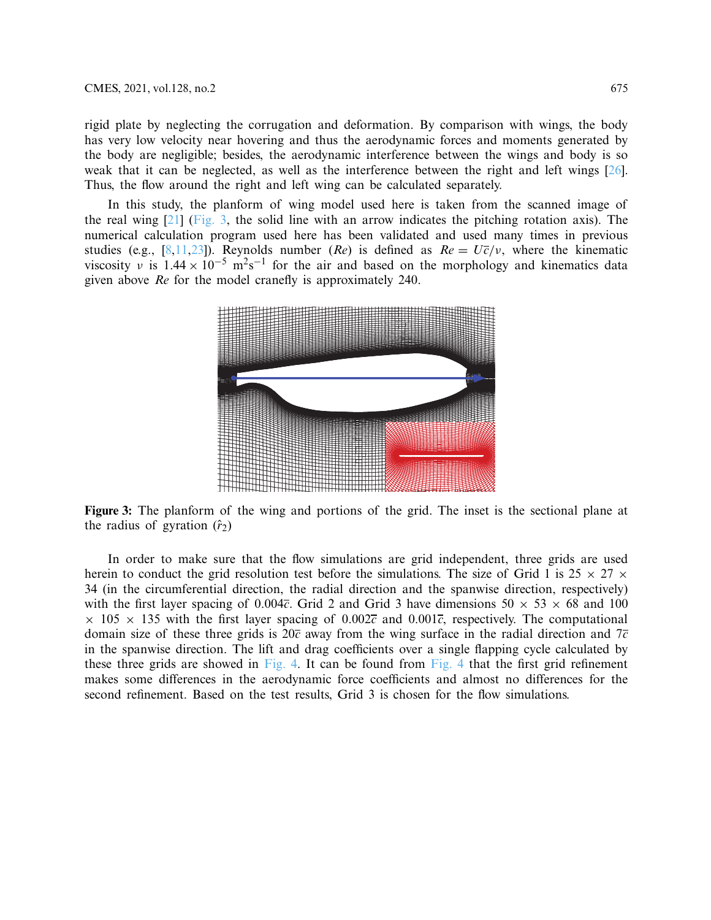rigid plate by neglecting the corrugation and deformation. By comparison with wings, the body has very low velocity near hovering and thus the aerodynamic forces and moments generated by the body are negligible; besides, the aerodynamic interference between the wings and body is so weak that it can be neglected, as well as the interference between the right and left wings [\[26](#page-16-8)]. Thus, the flow around the right and left wing can be calculated separately.

In this study, the planform of wing model used here is taken from the scanned image of the real wing  $[21]$  $[21]$  [\(Fig. 3,](#page-6-0) the solid line with an arrow indicates the pitching rotation axis). The numerical calculation program used here has been validated and used many times in previous studies (e.g., [\[8](#page-15-10)[,11](#page-15-11)[,23\]](#page-16-5)). Reynolds number (*Re*) is defined as  $Re = U\overline{c}/v$ , where the kinematic viscosity v is  $1.44 \times 10^{-5}$  m<sup>2</sup>s<sup>-1</sup> for the air and based on the morphology and kinematics data given above *Re* for the model cranefly is approximately 240.

<span id="page-6-0"></span>

**Figure 3:** The planform of the wing and portions of the grid. The inset is the sectional plane at the radius of gyration  $(\hat{r}_2)$ 

In order to make sure that the flow simulations are grid independent, three grids are used herein to conduct the grid resolution test before the simulations. The size of Grid 1 is  $25 \times 27 \times$ 34 (in the circumferential direction, the radial direction and the spanwise direction, respectively) with the first layer spacing of  $0.004\overline{c}$ . Grid 2 and Grid 3 have dimensions  $50 \times 53 \times 68$  and 100  $\times$  105  $\times$  135 with the first layer spacing of 0.002 $\overline{c}$  and 0.001 $\overline{c}$ , respectively. The computational domain size of these three grids is 20*c* away from the wing surface in the radial direction and 7*c* in the spanwise direction. The lift and drag coefficients over a single flapping cycle calculated by these three grids are showed in [Fig. 4.](#page-7-0) It can be found from [Fig. 4](#page-7-0) that the first grid refinement makes some differences in the aerodynamic force coefficients and almost no differences for the second refinement. Based on the test results, Grid 3 is chosen for the flow simulations.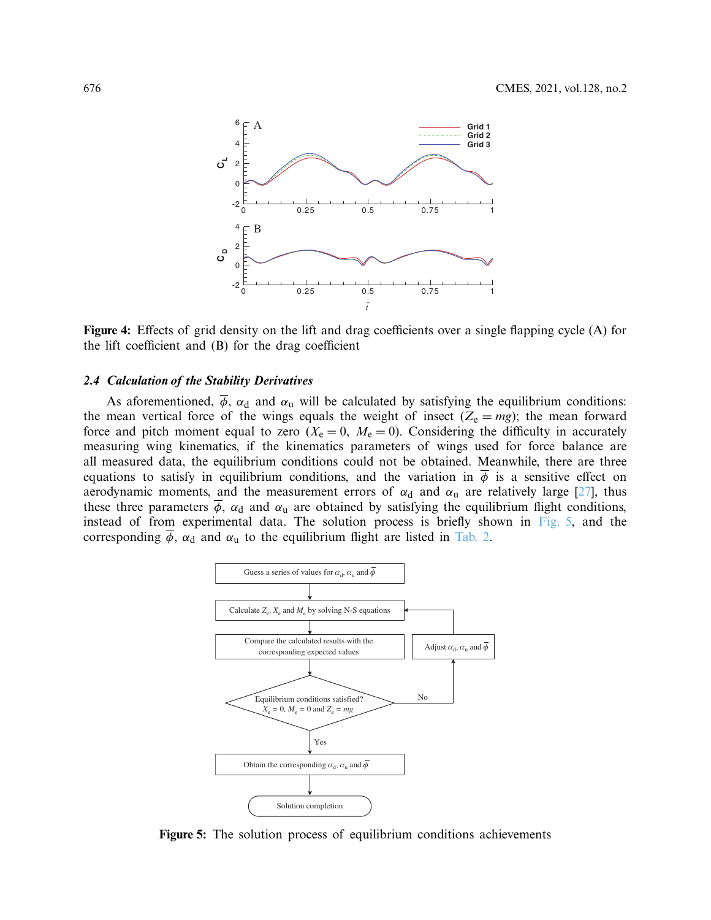<span id="page-7-0"></span>

**Figure 4:** Effects of grid density on the lift and drag coefficients over a single flapping cycle (A) for the lift coefficient and (B) for the drag coefficient

#### *2.4 Calculation of the Stability Derivatives*

As aforementioned,  $\overline{\phi}$ ,  $\alpha_d$  and  $\alpha_u$  will be calculated by satisfying the equilibrium conditions: the mean vertical force of the wings equals the weight of insect  $(Z_e = mg)$ ; the mean forward force and pitch moment equal to zero  $(X_e = 0, M_e = 0)$ . Considering the difficulty in accurately measuring wing kinematics, if the kinematics parameters of wings used for force balance are all measured data, the equilibrium conditions could not be obtained. Meanwhile, there are three equations to satisfy in equilibrium conditions, and the variation in  $\phi$  is a sensitive effect on aerodynamic moments, and the measurement errors of  $\alpha_d$  and  $\alpha_u$  are relatively large [\[27](#page-16-9)], thus these three parameters  $\overline{\phi}$ ,  $\alpha_d$  and  $\alpha_u$  are obtained by satisfying the equilibrium flight conditions, instead of from experimental data. The solution process is briefly shown in [Fig. 5,](#page-7-1) and the corresponding  $\overline{\phi}$ ,  $\alpha_d$  and  $\alpha_u$  to the equilibrium flight are listed in [Tab. 2.](#page-4-0)



<span id="page-7-1"></span>**Figure 5:** The solution process of equilibrium conditions achievements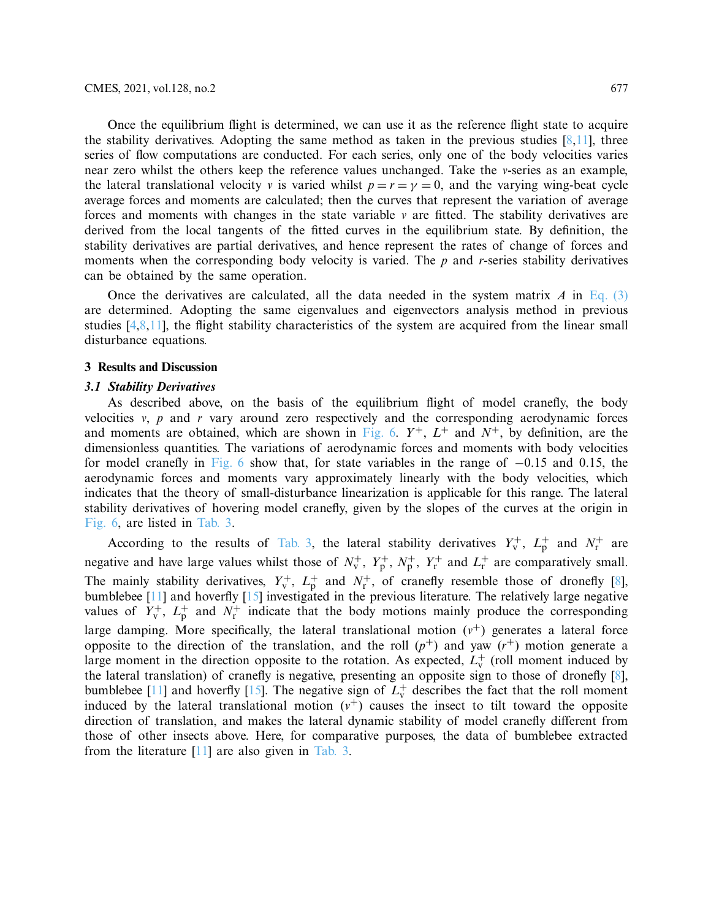Once the equilibrium flight is determined, we can use it as the reference flight state to acquire the stability derivatives. Adopting the same method as taken in the previous studies  $[8,11]$  $[8,11]$  $[8,11]$ , three series of flow computations are conducted. For each series, only one of the body velocities varies near zero whilst the others keep the reference values unchanged. Take the *v*-series as an example, the lateral translational velocity *v* is varied whilst  $p = r = \gamma = 0$ , and the varying wing-beat cycle average forces and moments are calculated; then the curves that represent the variation of average forces and moments with changes in the state variable *v* are fitted. The stability derivatives are derived from the local tangents of the fitted curves in the equilibrium state. By definition, the stability derivatives are partial derivatives, and hence represent the rates of change of forces and moments when the corresponding body velocity is varied. The *p* and *r*-series stability derivatives can be obtained by the same operation.

Once the derivatives are calculated, all the data needed in the system matrix *A* in [Eq. \(3\)](#page-5-0) are determined. Adopting the same eigenvalues and eigenvectors analysis method in previous studies [\[4](#page-15-4)[,8](#page-15-10)[,11\]](#page-15-11), the flight stability characteristics of the system are acquired from the linear small disturbance equations.

#### **3 Results and Discussion**

#### *3.1 Stability Derivatives*

As described above, on the basis of the equilibrium flight of model cranefly, the body velocities *v*, *p* and *r* vary around zero respectively and the corresponding aerodynamic forces and moments are obtained, which are shown in [Fig. 6.](#page-9-0)  $Y^+$ ,  $L^+$  and  $N^+$ , by definition, are the dimensionless quantities. The variations of aerodynamic forces and moments with body velocities for model cranefly in [Fig. 6](#page-9-0) show that, for state variables in the range of −0.15 and 0.15, the aerodynamic forces and moments vary approximately linearly with the body velocities, which indicates that the theory of small-disturbance linearization is applicable for this range. The lateral stability derivatives of hovering model cranefly, given by the slopes of the curves at the origin in [Fig. 6,](#page-9-0) are listed in [Tab. 3.](#page-9-1)

According to the results of [Tab. 3,](#page-9-1) the lateral stability derivatives  $Y_v^+$ ,  $L_p^+$  and  $N_r^+$  are negative and have large values whilst those of  $N_v^+$ ,  $Y_p^+$ ,  $N_p^+$ ,  $Y_r^+$  and  $L_r^+$  are comparatively small. The mainly stability derivatives,  $Y_{\rm v}^+$ ,  $L_{\rm p}^+$  and  $N_{\rm r}^+$ , of cranefly resemble those of dronefly [\[8](#page-15-10)], bumblebee [\[11](#page-15-11)] and hoverfly [\[15](#page-15-12)] investigated in the previous literature. The relatively large negative values of  $Y_v^+$ ,  $L_p^+$  and  $N_r^+$  indicate that the body motions mainly produce the corresponding large damping. More specifically, the lateral translational motion  $(v<sup>+</sup>)$  generates a lateral force opposite to the direction of the translation, and the roll  $(p^+)$  and yaw  $(r^+)$  motion generate a large moment in the direction opposite to the rotation. As expected,  $L_{\rm v}^+$  (roll moment induced by the lateral translation) of cranefly is negative, presenting an opposite sign to those of dronefly [\[8](#page-15-10)], bumblebee [\[11\]](#page-15-11) and hoverfly [\[15](#page-15-12)]. The negative sign of  $L_v^+$  describes the fact that the roll moment induced by the lateral translational motion  $(v<sup>+</sup>)$  causes the insect to tilt toward the opposite direction of translation, and makes the lateral dynamic stability of model cranefly different from those of other insects above. Here, for comparative purposes, the data of bumblebee extracted from the literature  $[11]$  $[11]$  are also given in [Tab. 3.](#page-9-1)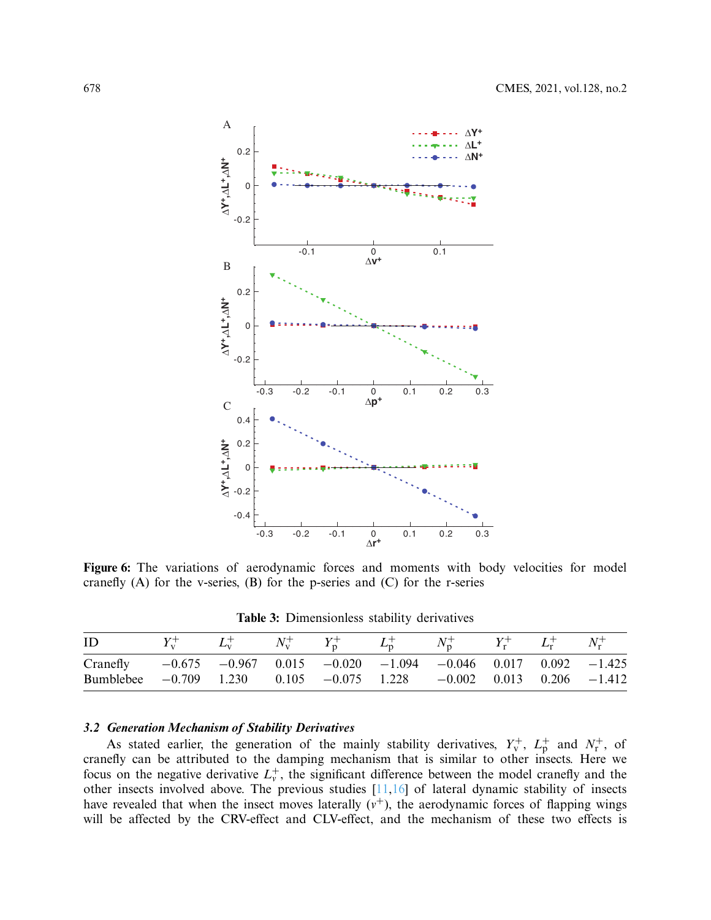

Figure 6: The variations of aerodynamic forces and moments with body velocities for model cranefly  $(A)$  for the v-series,  $(B)$  for the p-series and  $(C)$  for the r-series

<span id="page-9-0"></span>**Table 3:** Dimensionless stability derivatives

<span id="page-9-1"></span>

| ID                                                                                                                                                                    |  |  | $N_{n}^{+}$ | $Y_{\rm r}^+$ $L_{\rm r}^+$ | $N_r^+$ |
|-----------------------------------------------------------------------------------------------------------------------------------------------------------------------|--|--|-------------|-----------------------------|---------|
| Cranefly $-0.675$ $-0.967$ $0.015$ $-0.020$ $-1.094$ $-0.046$ $0.017$ $0.092$ $-1.425$<br>Bumblebee $-0.709$ 1.230 0.105 $-0.075$ 1.228 $-0.002$ 0.013 0.206 $-1.412$ |  |  |             |                             |         |

## *3.2 Generation Mechanism of Stability Derivatives*

As stated earlier, the generation of the mainly stability derivatives,  $Y_v^+$ ,  $L_p^+$  and  $N_r^+$ , of cranefly can be attributed to the damping mechanism that is similar to other insects. Here we focus on the negative derivative  $L_v^+$ , the significant difference between the model cranefly and the other insects involved above. The previous studies [\[11](#page-15-11)[,16\]](#page-15-14) of lateral dynamic stability of insects have revealed that when the insect moves laterally  $(v<sup>+</sup>)$ , the aerodynamic forces of flapping wings will be affected by the CRV-effect and CLV-effect, and the mechanism of these two effects is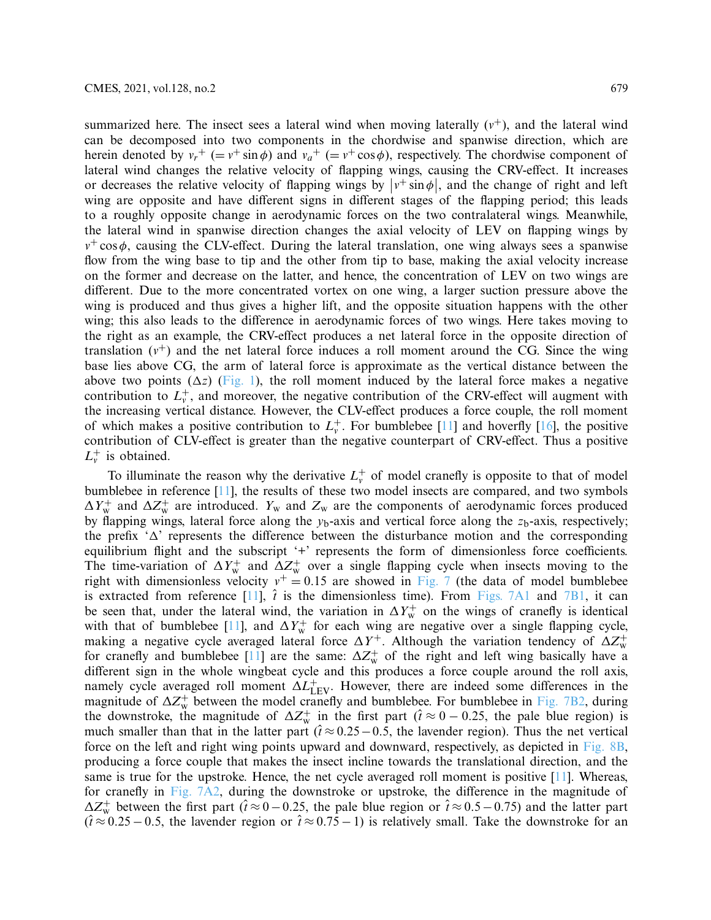summarized here. The insect sees a lateral wind when moving laterally  $(v^+)$ , and the lateral wind can be decomposed into two components in the chordwise and spanwise direction, which are herein denoted by  $v_r^+$  (=  $v^+ \sin \phi$ ) and  $v_a^+$  (=  $v^+ \cos \phi$ ), respectively. The chordwise component of lateral wind changes the relative velocity of flapping wings, causing the CRV-effect. It increases or decreases the relative velocity of flapping wings by  $|v^+ \sin \phi|$ , and the change of right and left wing are opposite and have different signs in different stages of the flapping period; this leads to a roughly opposite change in aerodynamic forces on the two contralateral wings. Meanwhile, the lateral wind in spanwise direction changes the axial velocity of LEV on flapping wings by  $v^+$  cos $\phi$ , causing the CLV-effect. During the lateral translation, one wing always sees a spanwise flow from the wing base to tip and the other from tip to base, making the axial velocity increase on the former and decrease on the latter, and hence, the concentration of LEV on two wings are different. Due to the more concentrated vortex on one wing, a larger suction pressure above the wing is produced and thus gives a higher lift, and the opposite situation happens with the other wing; this also leads to the difference in aerodynamic forces of two wings. Here takes moving to the right as an example, the CRV-effect produces a net lateral force in the opposite direction of translation  $(v^+)$  and the net lateral force induces a roll moment around the CG. Since the wing base lies above CG, the arm of lateral force is approximate as the vertical distance between the above two points  $(\Delta z)$  [\(Fig. 1\)](#page-3-0), the roll moment induced by the lateral force makes a negative contribution to  $L_v^+$ , and moreover, the negative contribution of the CRV-effect will augment with the increasing vertical distance. However, the CLV-effect produces a force couple, the roll moment of which makes a positive contribution to  $L_v^+$ . For bumblebee [\[11\]](#page-15-11) and hoverfly [\[16](#page-15-14)], the positive contribution of CLV-effect is greater than the negative counterpart of CRV-effect. Thus a positive  $L_v^+$  is obtained.

To illuminate the reason why the derivative  $L_v^+$  of model cranefly is opposite to that of model bumblebee in reference [\[11\]](#page-15-11), the results of these two model insects are compared, and two symbols  $\Delta Y_{\rm w}^+$  and  $\Delta Z_{\rm w}^+$  are introduced.  $Y_{\rm w}$  and  $Z_{\rm w}$  are the components of aerodynamic forces produced by flapping wings, lateral force along the  $y<sub>b</sub>$ -axis and vertical force along the  $z<sub>b</sub>$ -axis, respectively; the prefix  $\Delta'$  represents the difference between the disturbance motion and the corresponding equilibrium flight and the subscript '+' represents the form of dimensionless force coefficients. The time-variation of  $\Delta Y_{\rm w}^+$  and  $\Delta Z_{\rm w}^+$  over a single flapping cycle when insects moving to the right with dimensionless velocity  $v^+ = 0.15$  are showed in [Fig. 7](#page-11-0) (the data of model bumblebee is extracted from reference  $[11]$  $[11]$ ,  $\hat{i}$  is the dimensionless time). From [Figs. 7A1](#page-11-0) and [7B1,](#page-11-0) it can be seen that, under the lateral wind, the variation in  $\Delta Y_w^+$  on the wings of cranefly is identical with that of bumblebee [\[11](#page-15-11)], and  $\Delta Y_{\rm w}^+$  for each wing are negative over a single flapping cycle, making a negative cycle averaged lateral force  $\Delta Y^+$ . Although the variation tendency of  $\Delta Z_w^+$ for cranefly and bumblebee [\[11\]](#page-15-11) are the same:  $\Delta Z_{\rm w}^+$  of the right and left wing basically have a different sign in the whole wingbeat cycle and this produces a force couple around the roll axis, namely cycle averaged roll moment  $\Delta L_{\rm LFV}^{+}$ . However, there are indeed some differences in the magnitude of  $\Delta Z_w^+$  between the model cranefly and bumblebee. For bumblebee in [Fig. 7B2,](#page-11-0) during the downstroke, the magnitude of  $\Delta Z_w^+$  in the first part ( $\hat{t} \approx 0 - 0.25$ , the pale blue region) is much smaller than that in the latter part ( $\hat{t} \approx 0.25 - 0.5$ , the lavender region). Thus the net vertical force on the left and right wing points upward and downward, respectively, as depicted in [Fig. 8B,](#page-11-1) producing a force couple that makes the insect incline towards the translational direction, and the same is true for the upstroke. Hence, the net cycle averaged roll moment is positive [\[11\]](#page-15-11). Whereas, for cranefly in [Fig. 7A2,](#page-11-0) during the downstroke or upstroke, the difference in the magnitude of  $\Delta Z_{\rm w}^+$  between the first part ( $\hat{t} \approx 0-0.25$ , the pale blue region or  $\hat{t} \approx 0.5-0.75$ ) and the latter part  $(\hat{t} \approx 0.25 - 0.5$ , the lavender region or  $\hat{t} \approx 0.75 - 1$ ) is relatively small. Take the downstroke for an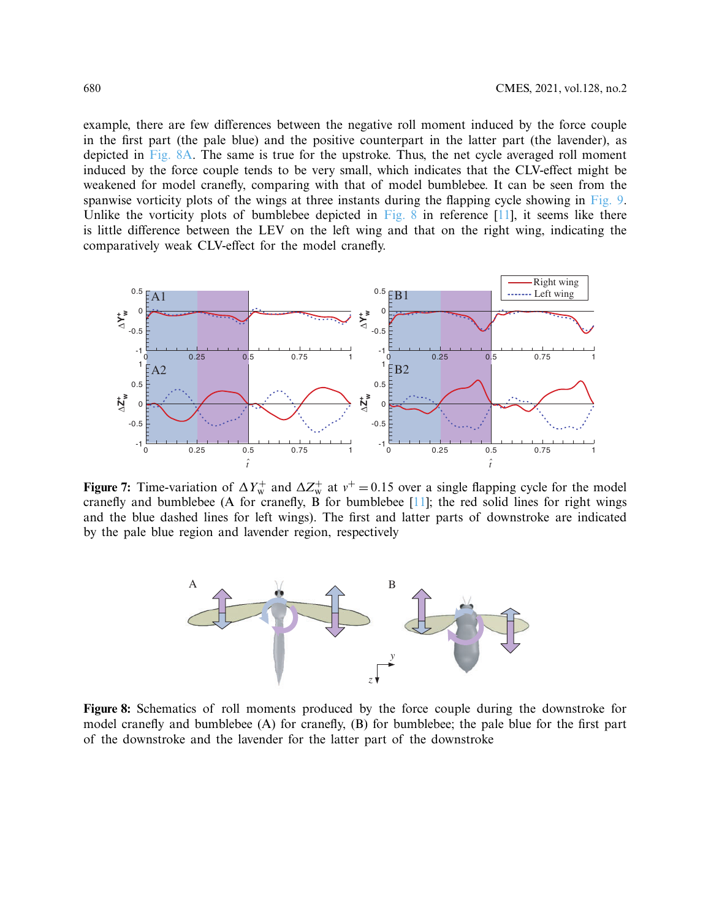example, there are few differences between the negative roll moment induced by the force couple in the first part (the pale blue) and the positive counterpart in the latter part (the lavender), as depicted in Fig.  $8A$ . The same is true for the upstroke. Thus, the net cycle averaged roll moment induced by the force couple tends to be very small, which indicates that the CLV-effect might be weakened for model cranefly, comparing with that of model bumblebee. It can be seen from the spanwise vorticity plots of the wings at three instants during the flapping cycle showing in [Fig. 9.](#page-12-0) Unlike the vorticity plots of bumblebee depicted in [Fig. 8](#page-11-1) in reference  $[11]$ , it seems like there is little difference between the LEV on the left wing and that on the right wing, indicating the comparatively weak CLV-effect for the model cranefly.



**Figure 7:** Time-variation of  $\Delta Y_w^+$  and  $\Delta Z_w^+$  at  $v^+ = 0.15$  over a single flapping cycle for the model cranefly and bumblebee (A for cranefly, B for bumblebee [\[11\]](#page-15-11); the red solid lines for right wings and the blue dashed lines for left wings). The first and latter parts of downstroke are indicated by the pale blue region and lavender region, respectively

<span id="page-11-1"></span><span id="page-11-0"></span>

**Figure 8:** Schematics of roll moments produced by the force couple during the downstroke for model cranefly and bumblebee (A) for cranefly, (B) for bumblebee; the pale blue for the first part of the downstroke and the lavender for the latter part of the downstroke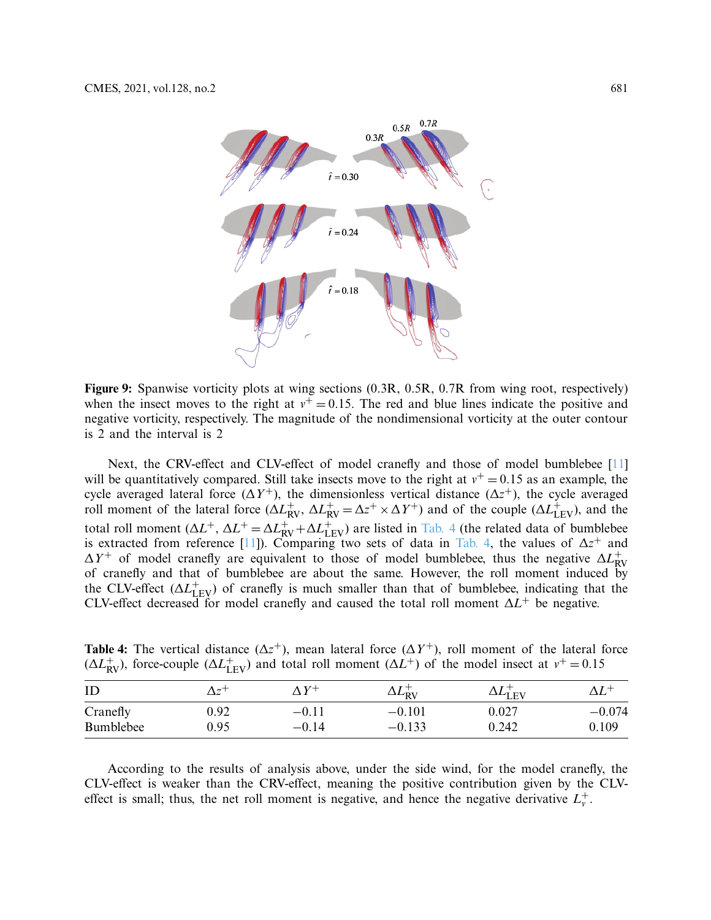<span id="page-12-0"></span>

**Figure 9:** Spanwise vorticity plots at wing sections (0.3R, 0.5R, 0.7R from wing root, respectively) when the insect moves to the right at  $v^+=0.15$ . The red and blue lines indicate the positive and negative vorticity, respectively. The magnitude of the nondimensional vorticity at the outer contour is 2 and the interval is 2

Next, the CRV-effect and CLV-effect of model cranefly and those of model bumblebee [\[11](#page-15-11)] will be quantitatively compared. Still take insects move to the right at  $v^+=0.15$  as an example, the cycle averaged lateral force  $(\Delta Y^+)$ , the dimensionless vertical distance  $(\Delta z^+)$ , the cycle averaged roll moment of the lateral force  $(\Delta L_{\text{RV}}^+, \Delta L_{\text{RV}}^+ = \Delta z^+ \times \Delta Y^+)$  and of the couple  $(\Delta L_{\text{LEV}}^+)$ , and the total roll moment  $(\Delta L^+$ ,  $\Delta L^+ = \Delta L_{RV}^+ + \Delta L_{LEV}^+$ ) are listed in [Tab. 4](#page-12-1) (the related data of bumblebee is extracted from reference [\[11\]](#page-15-11)). Comparing two sets of data in [Tab. 4,](#page-12-1) the values of  $\Delta z^+$  and  $\Delta Y^+$  of model cranefly are equivalent to those of model bumblebee, thus the negative  $\Delta L_{\text{RV}}^+$  $\Delta T$  of model etailer are equivalent to those of model bumblebee, thus the hegative  $\Delta L_{\text{RV}}$  of cranefly and that of bumblebee are about the same. However, the roll moment induced by the CLV-effect  $(\Delta L_{\rm{LEV}}^{+})$  of cranefly is much smaller than that of bumblebee, indicating that the CLV-effect decreased for model cranefly and caused the total roll moment Δ*L*+ be negative.

<span id="page-12-1"></span>**Table 4:** The vertical distance  $(\Delta z^+)$ , mean lateral force  $(\Delta Y^+)$ , roll moment of the lateral force ( $\Delta L_{\text{RV}}^{+}$ ), force-couple ( $\Delta L_{\text{LEV}}^{+}$ ) and total roll moment ( $\Delta L_{\text{UV}}^{+}$ ) of the model insect at  $v^{+} = 0.15$ 

| ID        | $\Delta \tau$ | $\Lambda V^+$ | $\Delta L^{\pm}_{\rm RV}$ | $\Delta L_{\rm{LEV}}$ |          |
|-----------|---------------|---------------|---------------------------|-----------------------|----------|
| Cranefly  | 0.92          | $-0.11$       | $-0.101$                  | $0.027\,$             | $-0.074$ |
| Bumblebee | 0.95          | $-0.14$       | $-0.133$                  | 0.242                 | 0.109    |

According to the results of analysis above, under the side wind, for the model cranefly, the CLV-effect is weaker than the CRV-effect, meaning the positive contribution given by the CLVeffect is small; thus, the net roll moment is negative, and hence the negative derivative  $L_v^+$ .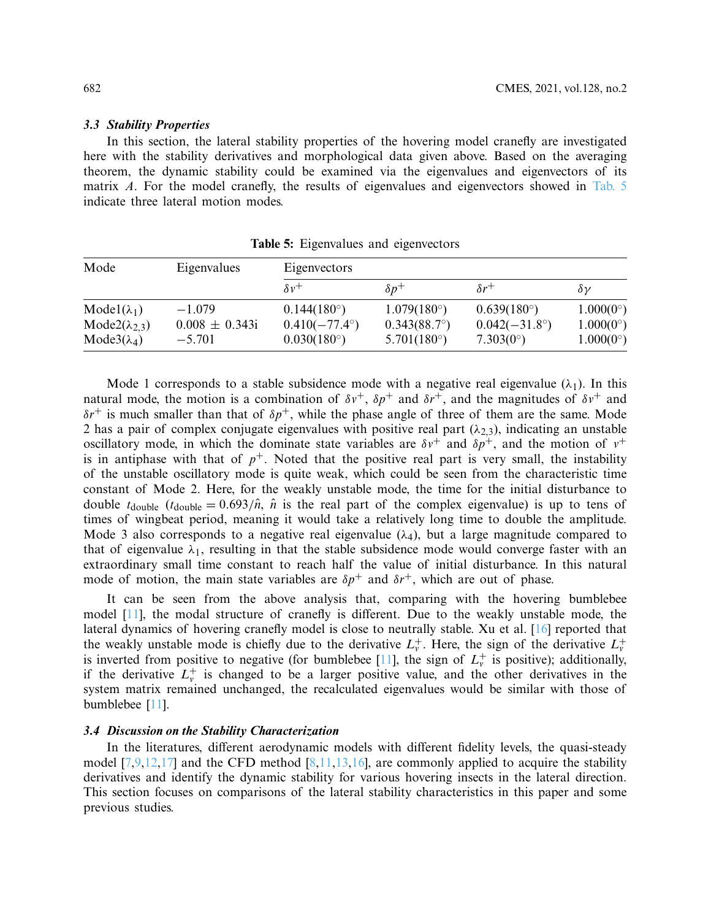#### *3.3 Stability Properties*

In this section, the lateral stability properties of the hovering model cranefly are investigated here with the stability derivatives and morphological data given above. Based on the averaging theorem, the dynamic stability could be examined via the eigenvalues and eigenvectors of its matrix *A*. For the model cranefly, the results of eigenvalues and eigenvectors showed in [Tab. 5](#page-13-0) indicate three lateral motion modes.

<span id="page-13-0"></span>

| Mode                     | Eigenvalues        | Eigenvectors           |                       |                        |                    |  |  |
|--------------------------|--------------------|------------------------|-----------------------|------------------------|--------------------|--|--|
|                          |                    | $\delta v^+$           | $\delta p^+$          | $\delta r^+$           | $\delta \nu$       |  |  |
| $Model(\lambda_1)$       | $-1.079$           | $0.144(180^{\circ})$   | $1.079(180^{\circ})$  | $0.639(180^{\circ})$   | $1.000(0^{\circ})$ |  |  |
| Mode2( $\lambda_{2,3}$ ) | $0.008 \pm 0.343i$ | $0.410(-77.4^{\circ})$ | $0.343(88.7^{\circ})$ | $0.042(-31.8^{\circ})$ | $1.000(0^{\circ})$ |  |  |
| Mode $3(\lambda_4)$      | $-5.701$           | $0.030(180^{\circ})$   | $5.701(180^{\circ})$  | $7.303(0^{\circ})$     | $1.000(0^{\circ})$ |  |  |

**Table 5:** Eigenvalues and eigenvectors

Mode 1 corresponds to a stable subsidence mode with a negative real eigenvalue  $(\lambda_1)$ . In this natural mode, the motion is a combination of  $\delta v^+$ ,  $\delta p^+$  and  $\delta r^+$ , and the magnitudes of  $\delta v^+$  and  $\delta r^+$  is much smaller than that of  $\delta p^+$ , while the phase angle of three of them are the same. Mode 2 has a pair of complex conjugate eigenvalues with positive real part  $(\lambda_{2,3})$ , indicating an unstable oscillatory mode, in which the dominate state variables are  $\delta v^+$  and  $\delta p^+$ , and the motion of  $v^+$ is in antiphase with that of  $p^+$ . Noted that the positive real part is very small, the instability of the unstable oscillatory mode is quite weak, which could be seen from the characteristic time constant of Mode 2. Here, for the weakly unstable mode, the time for the initial disturbance to double  $t_{\text{double}}$  ( $t_{\text{double}} = 0.693/\hat{n}$ ,  $\hat{n}$  is the real part of the complex eigenvalue) is up to tens of times of wingbeat period, meaning it would take a relatively long time to double the amplitude. Mode 3 also corresponds to a negative real eigenvalue  $(\lambda_4)$ , but a large magnitude compared to that of eigenvalue  $\lambda_1$ , resulting in that the stable subsidence mode would converge faster with an extraordinary small time constant to reach half the value of initial disturbance. In this natural mode of motion, the main state variables are  $\delta p^+$  and  $\delta r^+$ , which are out of phase.

It can be seen from the above analysis that, comparing with the hovering bumblebee model [\[11\]](#page-15-11), the modal structure of cranefly is different. Due to the weakly unstable mode, the lateral dynamics of hovering cranefly model is close to neutrally stable. Xu et al. [\[16\]](#page-15-14) reported that the weakly unstable mode is chiefly due to the derivative  $L_v^+$ . Here, the sign of the derivative  $L_v^+$ is inverted from positive to negative (for bumblebee [\[11](#page-15-11)], the sign of  $L_v^+$  is positive); additionally, if the derivative  $L_v^+$  is changed to be a larger positive value, and the other derivatives in the system matrix remained unchanged, the recalculated eigenvalues would be similar with those of bumblebee [\[11](#page-15-11)].

#### *3.4 Discussion on the Stability Characterization*

In the literatures, different aerodynamic models with different fidelity levels, the quasi-steady model  $[7,9,12,17]$  $[7,9,12,17]$  $[7,9,12,17]$  $[7,9,12,17]$  and the CFD method  $[8,11,13,16]$  $[8,11,13,16]$  $[8,11,13,16]$  $[8,11,13,16]$ , are commonly applied to acquire the stability derivatives and identify the dynamic stability for various hovering insects in the lateral direction. This section focuses on comparisons of the lateral stability characteristics in this paper and some previous studies.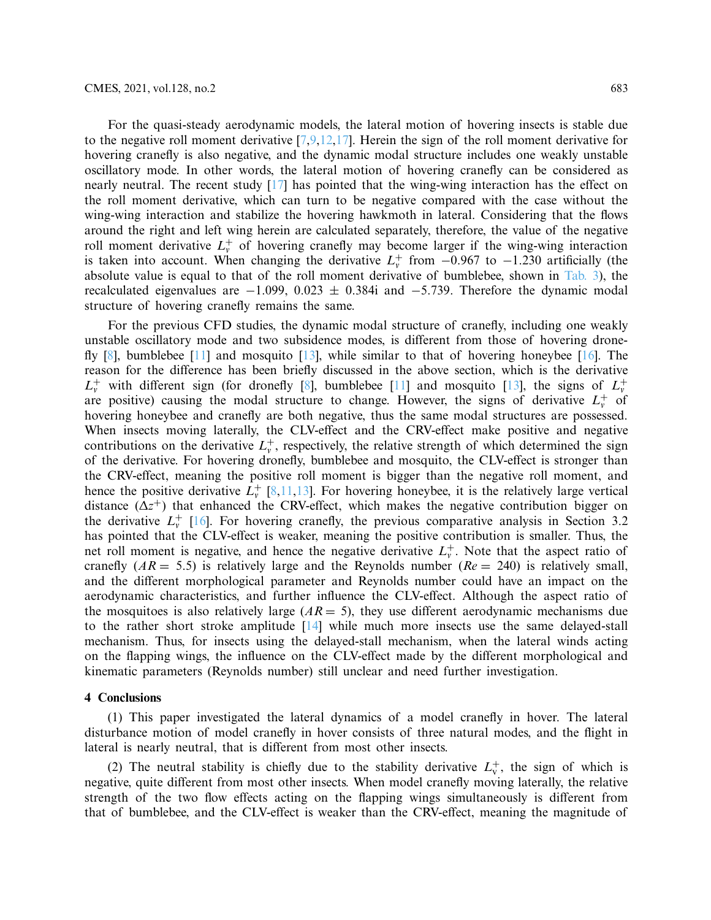For the quasi-steady aerodynamic models, the lateral motion of hovering insects is stable due to the negative roll moment derivative  $[7,9,12,17]$  $[7,9,12,17]$  $[7,9,12,17]$  $[7,9,12,17]$  $[7,9,12,17]$ . Herein the sign of the roll moment derivative for hovering cranefly is also negative, and the dynamic modal structure includes one weakly unstable oscillatory mode. In other words, the lateral motion of hovering cranefly can be considered as nearly neutral. The recent study [\[17\]](#page-16-0) has pointed that the wing-wing interaction has the effect on the roll moment derivative, which can turn to be negative compared with the case without the wing-wing interaction and stabilize the hovering hawkmoth in lateral. Considering that the flows around the right and left wing herein are calculated separately, therefore, the value of the negative roll moment derivative  $L_v^+$  of hovering cranefly may become larger if the wing-wing interaction is taken into account. When changing the derivative  $L_v^+$  from  $-0.967$  to  $-1.230$  artificially (the absolute value is equal to that of the roll moment derivative of bumblebee, shown in [Tab. 3\)](#page-9-1), the recalculated eigenvalues are  $-1.099$ , 0.023  $\pm$  0.384i and  $-5.739$ . Therefore the dynamic modal structure of hovering cranefly remains the same.

For the previous CFD studies, the dynamic modal structure of cranefly, including one weakly unstable oscillatory mode and two subsidence modes, is different from those of hovering drone-fly [\[8\]](#page-15-10), bumblebee [\[11\]](#page-15-11) and mosquito [\[13\]](#page-15-3), while similar to that of hovering honeybee [\[16\]](#page-15-14). The reason for the difference has been briefly discussed in the above section, which is the derivative  $L_v^+$  with different sign (for dronefly [\[8\]](#page-15-10), bumblebee [\[11](#page-15-11)] and mosquito [\[13\]](#page-15-3), the signs of  $L_v^+$ are positive) causing the modal structure to change. However, the signs of derivative  $L_v^+$  of hovering honeybee and cranefly are both negative, thus the same modal structures are possessed. When insects moving laterally, the CLV-effect and the CRV-effect make positive and negative contributions on the derivative  $L_v^+$ , respectively, the relative strength of which determined the sign of the derivative. For hovering dronefly, bumblebee and mosquito, the CLV-effect is stronger than the CRV-effect, meaning the positive roll moment is bigger than the negative roll moment, and hence the positive derivative  $L_v^+$  [\[8](#page-15-10)[,11](#page-15-11)[,13](#page-15-3)]. For hovering honeybee, it is the relatively large vertical distance  $(\Delta z^+)$  that enhanced the CRV-effect, which makes the negative contribution bigger on the derivative  $L_v^+$  [\[16](#page-15-14)]. For hovering cranefly, the previous comparative analysis in Section 3.2 has pointed that the CLV-effect is weaker, meaning the positive contribution is smaller. Thus, the net roll moment is negative, and hence the negative derivative  $L_v^+$ . Note that the aspect ratio of cranefly  $(AR = 5.5)$  is relatively large and the Reynolds number  $(Re = 240)$  is relatively small, and the different morphological parameter and Reynolds number could have an impact on the aerodynamic characteristics, and further influence the CLV-effect. Although the aspect ratio of the mosquitoes is also relatively large  $(AR = 5)$ , they use different aerodynamic mechanisms due to the rather short stroke amplitude [\[14](#page-15-9)] while much more insects use the same delayed-stall mechanism. Thus, for insects using the delayed-stall mechanism, when the lateral winds acting on the flapping wings, the influence on the CLV-effect made by the different morphological and kinematic parameters (Reynolds number) still unclear and need further investigation.

#### **4 Conclusions**

(1) This paper investigated the lateral dynamics of a model cranefly in hover. The lateral disturbance motion of model cranefly in hover consists of three natural modes, and the flight in lateral is nearly neutral, that is different from most other insects.

(2) The neutral stability is chiefly due to the stability derivative  $L_v^+$ , the sign of which is negative, quite different from most other insects. When model cranefly moving laterally, the relative strength of the two flow effects acting on the flapping wings simultaneously is different from that of bumblebee, and the CLV-effect is weaker than the CRV-effect, meaning the magnitude of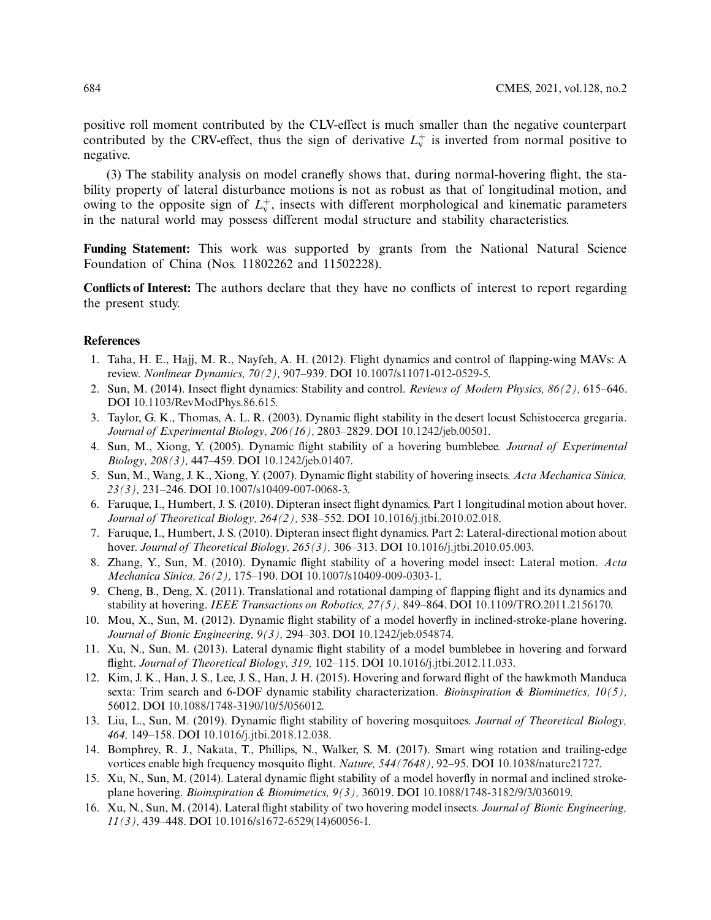positive roll moment contributed by the CLV-effect is much smaller than the negative counterpart contributed by the CRV-effect, thus the sign of derivative  $L_v^+$  is inverted from normal positive to negative.

(3) The stability analysis on model cranefly shows that, during normal-hovering flight, the stability property of lateral disturbance motions is not as robust as that of longitudinal motion, and owing to the opposite sign of  $L_v^+$ , insects with different morphological and kinematic parameters in the natural world may possess different modal structure and stability characteristics.

**Funding Statement:** This work was supported by grants from the National Natural Science Foundation of China (Nos. 11802262 and 11502228).

**Conflicts of Interest:** The authors declare that they have no conflicts of interest to report regarding the present study.

#### **References**

- <span id="page-15-0"></span>1. Taha, H. E., Hajj, M. R., Nayfeh, A. H. (2012). Flight dynamics and control of flapping-wing MAVs: A review. *Nonlinear Dynamics, 70(2),* 907–939. DOI [10.1007/s11071-012-0529-5.](http://dx.doi.org/10.1007/s11071-012-0529-5)
- <span id="page-15-1"></span>2. Sun, M. (2014). Insect flight dynamics: Stability and control. *Reviews of Modern Physics, 86(2),* 615–646. DOI [10.1103/RevModPhys.86.615.](http://dx.doi.org/10.1103/RevModPhys.86.615)
- <span id="page-15-2"></span>3. Taylor, G. K., Thomas, A. L. R. (2003). Dynamic flight stability in the desert locust Schistocerca gregaria. *Journal of Experimental Biology, 206(16),* 2803–2829. DOI [10.1242/jeb.00501.](http://dx.doi.org/10.1242/jeb.00501)
- <span id="page-15-4"></span>4. Sun, M., Xiong, Y. (2005). Dynamic flight stability of a hovering bumblebee. *Journal of Experimental Biology, 208(3),* 447–459. DOI [10.1242/jeb.01407.](http://dx.doi.org/10.1242/jeb.01407)
- 5. Sun, M., Wang, J. K., Xiong, Y. (2007). Dynamic flight stability of hovering insects. *Acta Mechanica Sinica, 23(3),* 231–246. DOI [10.1007/s10409-007-0068-3.](http://dx.doi.org/10.1007/s10409-007-0068-3)
- <span id="page-15-5"></span>6. Faruque, I., Humbert, J. S. (2010). Dipteran insect flight dynamics. Part 1 longitudinal motion about hover. *Journal of Theoretical Biology, 264(2),* 538–552. DOI [10.1016/j.jtbi.2010.02.018.](http://dx.doi.org/10.1016/j.jtbi.2010.02.018)
- <span id="page-15-13"></span>7. Faruque, I., Humbert, J. S. (2010). Dipteran insect flight dynamics. Part 2: Lateral-directional motion about hover. *Journal of Theoretical Biology, 265(3),* 306–313. DOI [10.1016/j.jtbi.2010.05.003.](http://dx.doi.org/10.1016/j.jtbi.2010.05.003)
- <span id="page-15-10"></span>8. Zhang, Y., Sun, M. (2010). Dynamic flight stability of a hovering model insect: Lateral motion. *Acta Mechanica Sinica, 26(2),* 175–190. DOI [10.1007/s10409-009-0303-1.](http://dx.doi.org/10.1007/s10409-009-0303-1)
- <span id="page-15-6"></span>9. Cheng, B., Deng, X. (2011). Translational and rotational damping of flapping flight and its dynamics and stability at hovering. *IEEE Transactions on Robotics, 27(5),* 849–864. DOI [10.1109/TRO.2011.2156170.](http://dx.doi.org/10.1109/TRO.2011.2156170)
- <span id="page-15-7"></span>10. Mou, X., Sun, M. (2012). Dynamic flight stability of a model hoverfly in inclined-stroke-plane hovering. *Journal of Bionic Engineering, 9(3),* 294–303. DOI [10.1242/jeb.054874.](http://dx.doi.org/10.1242/jeb.054874)
- <span id="page-15-11"></span>11. Xu, N., Sun, M. (2013). Lateral dynamic flight stability of a model bumblebee in hovering and forward flight. *Journal of Theoretical Biology, 319,* 102–115. DOI [10.1016/j.jtbi.2012.11.033.](http://dx.doi.org/10.1016/j.jtbi.2012.11.033)
- <span id="page-15-8"></span>12. Kim, J. K., Han, J. S., Lee, J. S., Han, J. H. (2015). Hovering and forward flight of the hawkmoth Manduca sexta: Trim search and 6-DOF dynamic stability characterization. *Bioinspiration & Biomimetics, 10(5),* 56012. DOI [10.1088/1748-3190/10/5/056012.](http://dx.doi.org/10.1088/1748-3190/10/5/056012)
- <span id="page-15-3"></span>13. Liu, L., Sun, M. (2019). Dynamic flight stability of hovering mosquitoes. *Journal of Theoretical Biology, 464,* 149–158. DOI [10.1016/j.jtbi.2018.12.038.](http://dx.doi.org/10.1016/j.jtbi.2018.12.038)
- <span id="page-15-9"></span>14. Bomphrey, R. J., Nakata, T., Phillips, N., Walker, S. M. (2017). Smart wing rotation and trailing-edge vortices enable high frequency mosquito flight. *Nature, 544(7648),* 92–95. DOI [10.1038/nature21727.](http://dx.doi.org/10.1038/nature21727)
- <span id="page-15-12"></span>15. Xu, N., Sun, M. (2014). Lateral dynamic flight stability of a model hoverfly in normal and inclined strokeplane hovering. *Bioinspiration & Biomimetics, 9(3),* 36019. DOI [10.1088/1748-3182/9/3/036019.](http://dx.doi.org/10.1088/1748-3182/9/3/036019)
- <span id="page-15-14"></span>16. Xu, N., Sun, M. (2014). Lateral flight stability of two hovering model insects. *Journal of Bionic Engineering, 11(3),* 439–448. DOI [10.1016/s1672-6529\(14\)60056-1.](http://dx.doi.org/10.1016/s1672-6529(14)60056-1)